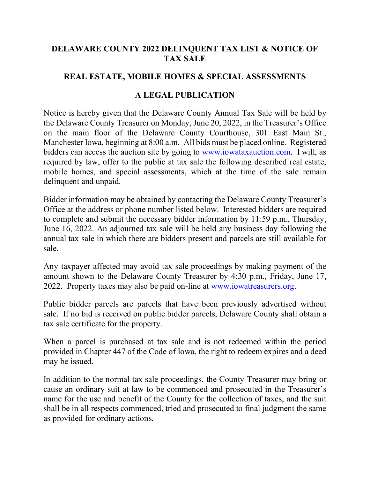## **DELAWARE COUNTY 2022 DELINQUENT TAX LIST & NOTICE OF TAX SALE**

## **REAL ESTATE, MOBILE HOMES & SPECIAL ASSESSMENTS**

## **A LEGAL PUBLICATION**

Notice is hereby given that the Delaware County Annual Tax Sale will be held by the Delaware County Treasurer on Monday, June 20, 2022, in the Treasurer's Office on the main floor of the Delaware County Courthouse, 301 East Main St., Manchester Iowa, beginning at 8:00 a.m. All bids must be placed online. Registered bidders can access the auction site by going to [www.iowataxauction.com.](https://nam11.safelinks.protection.outlook.com/?url=http%3A%2F%2Fwww.iowataxauction.com%2F&data=05%7C01%7Cjeschen%40co.delaware.ia.us%7Cae3cc08a8eb24caba18308da4401d501%7C3f7a01cbd1f24f2c95ec800a2147d4fb%7C0%7C0%7C637897071905013900%7CUnknown%7CTWFpbGZsb3d8eyJWIjoiMC4wLjAwMDAiLCJQIjoiV2luMzIiLCJBTiI6Ik1haWwiLCJXVCI6Mn0%3D%7C3000%7C%7C%7C&sdata=fYitvkSl1fA0MjZs%2BYkhl4f%2BAsUvl9kx0l6XXIrnGss%3D&reserved=0) I will, as required by law, offer to the public at tax sale the following described real estate, mobile homes, and special assessments, which at the time of the sale remain delinquent and unpaid.

Bidder information may be obtained by contacting the Delaware County Treasurer's Office at the address or phone number listed below. Interested bidders are required to complete and submit the necessary bidder information by 11:59 p.m., Thursday, June 16, 2022. An adjourned tax sale will be held any business day following the annual tax sale in which there are bidders present and parcels are still available for sale.

Any taxpayer affected may avoid tax sale proceedings by making payment of the amount shown to the Delaware County Treasurer by 4:30 p.m., Friday, June 17, 2022. Property taxes may also be paid on-line at [www.iowatreasurers.org.](https://nam11.safelinks.protection.outlook.com/?url=http%3A%2F%2Fwww.iowatreasurers.org%2F&data=05%7C01%7Cjeschen%40co.delaware.ia.us%7Cae3cc08a8eb24caba18308da4401d501%7C3f7a01cbd1f24f2c95ec800a2147d4fb%7C0%7C0%7C637897071905013900%7CUnknown%7CTWFpbGZsb3d8eyJWIjoiMC4wLjAwMDAiLCJQIjoiV2luMzIiLCJBTiI6Ik1haWwiLCJXVCI6Mn0%3D%7C3000%7C%7C%7C&sdata=ThN%2FOCEveqJahW8f4X8NPeQ1UZNsSSEDc8e%2B25QqJkQ%3D&reserved=0)

Public bidder parcels are parcels that have been previously advertised without sale. If no bid is received on public bidder parcels, Delaware County shall obtain a tax sale certificate for the property.

When a parcel is purchased at tax sale and is not redeemed within the period provided in Chapter 447 of the Code of Iowa, the right to redeem expires and a deed may be issued.

In addition to the normal tax sale proceedings, the County Treasurer may bring or cause an ordinary suit at law to be commenced and prosecuted in the Treasurer's name for the use and benefit of the County for the collection of taxes, and the suit shall be in all respects commenced, tried and prosecuted to final judgment the same as provided for ordinary actions.